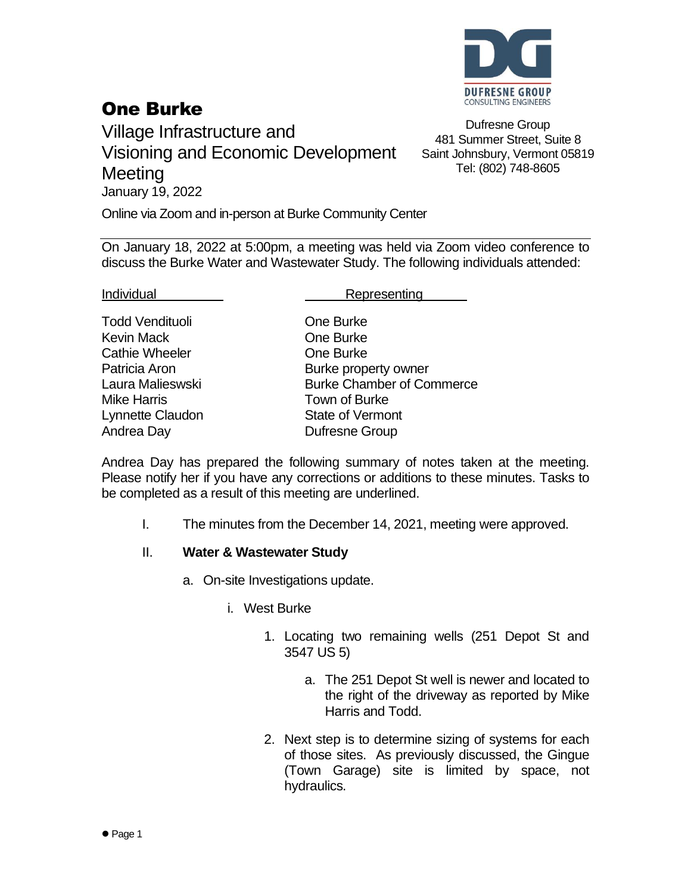

## One Burke

Village Infrastructure and Visioning and Economic Development **Meeting** January 19, 2022

Dufresne Group 481 Summer Street, Suite 8 Saint Johnsbury, Vermont 05819 Tel: (802) 748-8605

Online via Zoom and in-person at Burke Community Center

On January 18, 2022 at 5:00pm, a meeting was held via Zoom video conference to discuss the Burke Water and Wastewater Study. The following individuals attended:

Todd Vendituoli **Charles Cone Burke** Kevin Mack **Communist Communist Communist Communist Communist Communist Communist Communist Communist Communist Communist Communist Communist Communist Communist Communist Communist Communist Communist Communist Communist** Cathie Wheeler **Cathie Wheeler Cathie** One Burke Mike Harris Town of Burke Lynnette Claudon State of Vermont Andrea Day **Dufresne** Group

Individual Representing

Patricia Aron **Burke property owner** Laura Malieswski Burke Chamber of Commerce

Andrea Day has prepared the following summary of notes taken at the meeting. Please notify her if you have any corrections or additions to these minutes. Tasks to be completed as a result of this meeting are underlined.

I. The minutes from the December 14, 2021, meeting were approved.

## II. **Water & Wastewater Study**

- a. On-site Investigations update.
	- i. West Burke
		- 1. Locating two remaining wells (251 Depot St and 3547 US 5)
			- a. The 251 Depot St well is newer and located to the right of the driveway as reported by Mike Harris and Todd.
		- 2. Next step is to determine sizing of systems for each of those sites. As previously discussed, the Gingue (Town Garage) site is limited by space, not hydraulics.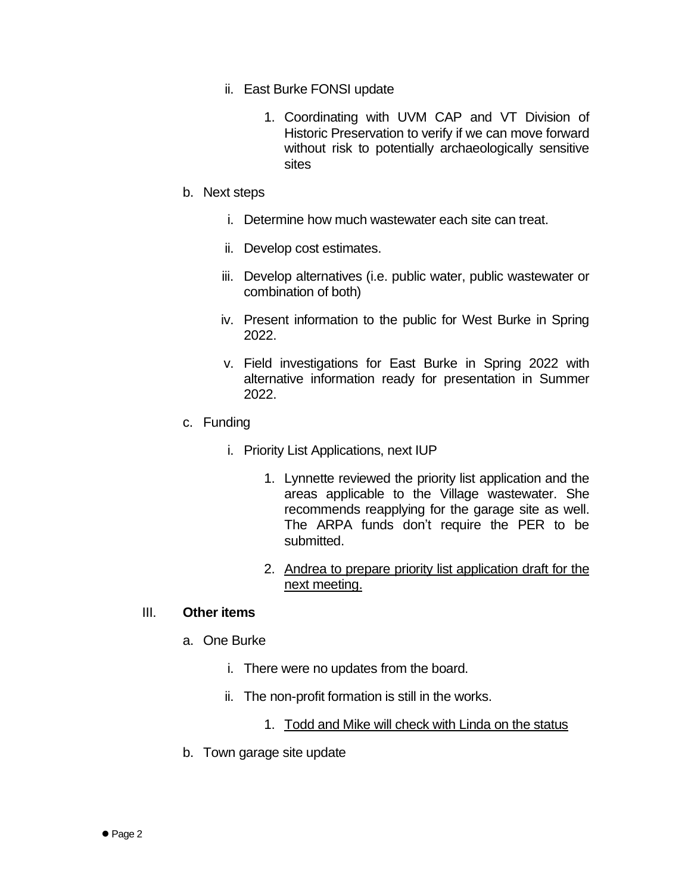- ii. East Burke FONSI update
	- 1. Coordinating with UVM CAP and VT Division of Historic Preservation to verify if we can move forward without risk to potentially archaeologically sensitive sites
- b. Next steps
	- i. Determine how much wastewater each site can treat.
	- ii. Develop cost estimates.
	- iii. Develop alternatives (i.e. public water, public wastewater or combination of both)
	- iv. Present information to the public for West Burke in Spring 2022.
	- v. Field investigations for East Burke in Spring 2022 with alternative information ready for presentation in Summer 2022.
- c. Funding
	- i. Priority List Applications, next IUP
		- 1. Lynnette reviewed the priority list application and the areas applicable to the Village wastewater. She recommends reapplying for the garage site as well. The ARPA funds don't require the PER to be submitted.
		- 2. Andrea to prepare priority list application draft for the next meeting.

## III. **Other items**

- a. One Burke
	- i. There were no updates from the board.
	- ii. The non-profit formation is still in the works.
		- 1. Todd and Mike will check with Linda on the status
- b. Town garage site update